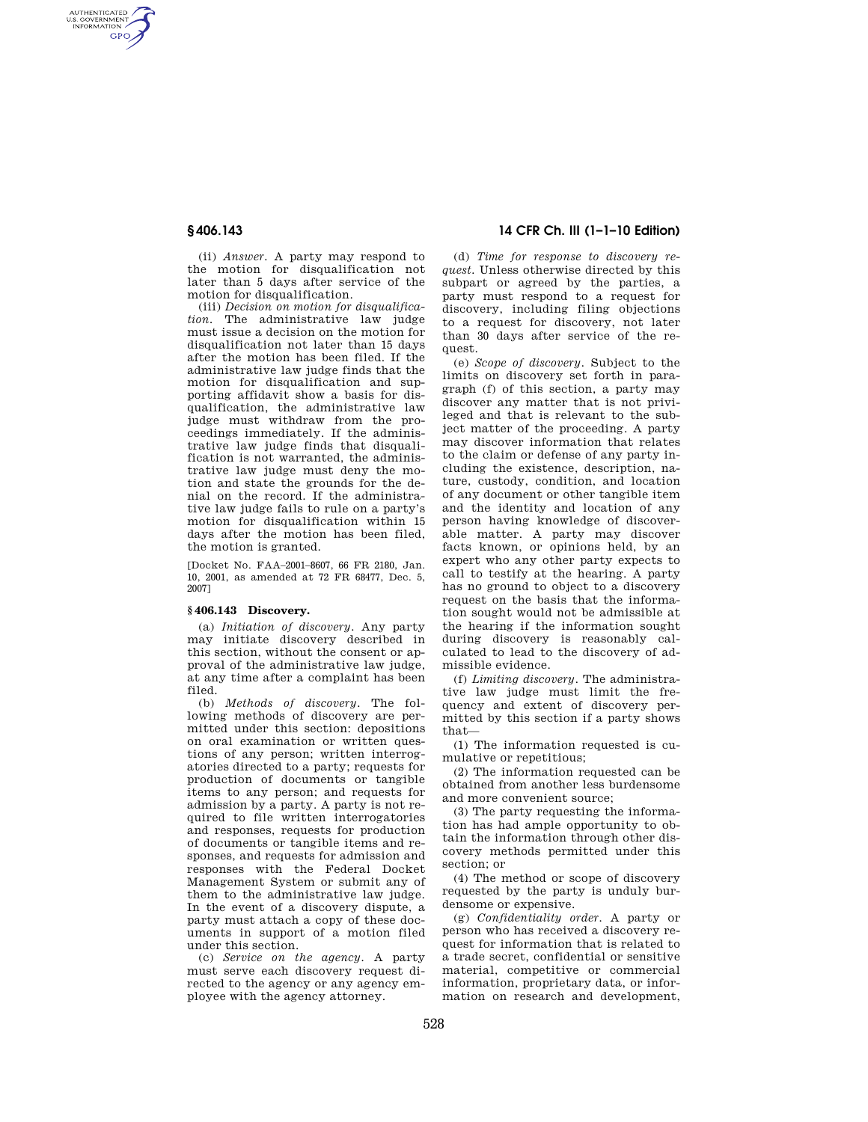AUTHENTICATED<br>U.S. GOVERNMENT<br>INFORMATION **GPO** 

> (ii) *Answer.* A party may respond to the motion for disqualification not later than 5 days after service of the motion for disqualification.

> (iii) *Decision on motion for disqualification.* The administrative law judge must issue a decision on the motion for disqualification not later than 15 days after the motion has been filed. If the administrative law judge finds that the motion for disqualification and supporting affidavit show a basis for disqualification, the administrative law judge must withdraw from the proceedings immediately. If the administrative law judge finds that disqualification is not warranted, the administrative law judge must deny the motion and state the grounds for the denial on the record. If the administrative law judge fails to rule on a party's motion for disqualification within 15 days after the motion has been filed, the motion is granted.

[Docket No. FAA–2001–8607, 66 FR 2180, Jan. 10, 2001, as amended at 72 FR 68477, Dec. 5, 2007]

### **§ 406.143 Discovery.**

(a) *Initiation of discovery.* Any party may initiate discovery described in this section, without the consent or approval of the administrative law judge, at any time after a complaint has been filed.

(b) *Methods of discovery.* The following methods of discovery are permitted under this section: depositions on oral examination or written questions of any person; written interrogatories directed to a party; requests for production of documents or tangible items to any person; and requests for admission by a party. A party is not required to file written interrogatories and responses, requests for production of documents or tangible items and responses, and requests for admission and responses with the Federal Docket Management System or submit any of them to the administrative law judge. In the event of a discovery dispute, a party must attach a copy of these documents in support of a motion filed under this section.

(c) *Service on the agency.* A party must serve each discovery request directed to the agency or any agency employee with the agency attorney.

# **§ 406.143 14 CFR Ch. III (1–1–10 Edition)**

(d) *Time for response to discovery request.* Unless otherwise directed by this subpart or agreed by the parties, a party must respond to a request for discovery, including filing objections to a request for discovery, not later than 30 days after service of the request.

(e) *Scope of discovery.* Subject to the limits on discovery set forth in paragraph (f) of this section, a party may discover any matter that is not privileged and that is relevant to the subject matter of the proceeding. A party may discover information that relates to the claim or defense of any party including the existence, description, nature, custody, condition, and location of any document or other tangible item and the identity and location of any person having knowledge of discoverable matter. A party may discover facts known, or opinions held, by an expert who any other party expects to call to testify at the hearing. A party has no ground to object to a discovery request on the basis that the information sought would not be admissible at the hearing if the information sought during discovery is reasonably calculated to lead to the discovery of admissible evidence.

(f) *Limiting discovery.* The administrative law judge must limit the frequency and extent of discovery permitted by this section if a party shows that—

(1) The information requested is cumulative or repetitious;

(2) The information requested can be obtained from another less burdensome and more convenient source;

(3) The party requesting the information has had ample opportunity to obtain the information through other discovery methods permitted under this section; or

(4) The method or scope of discovery requested by the party is unduly burdensome or expensive.

(g) *Confidentiality order.* A party or person who has received a discovery request for information that is related to a trade secret, confidential or sensitive material, competitive or commercial information, proprietary data, or information on research and development,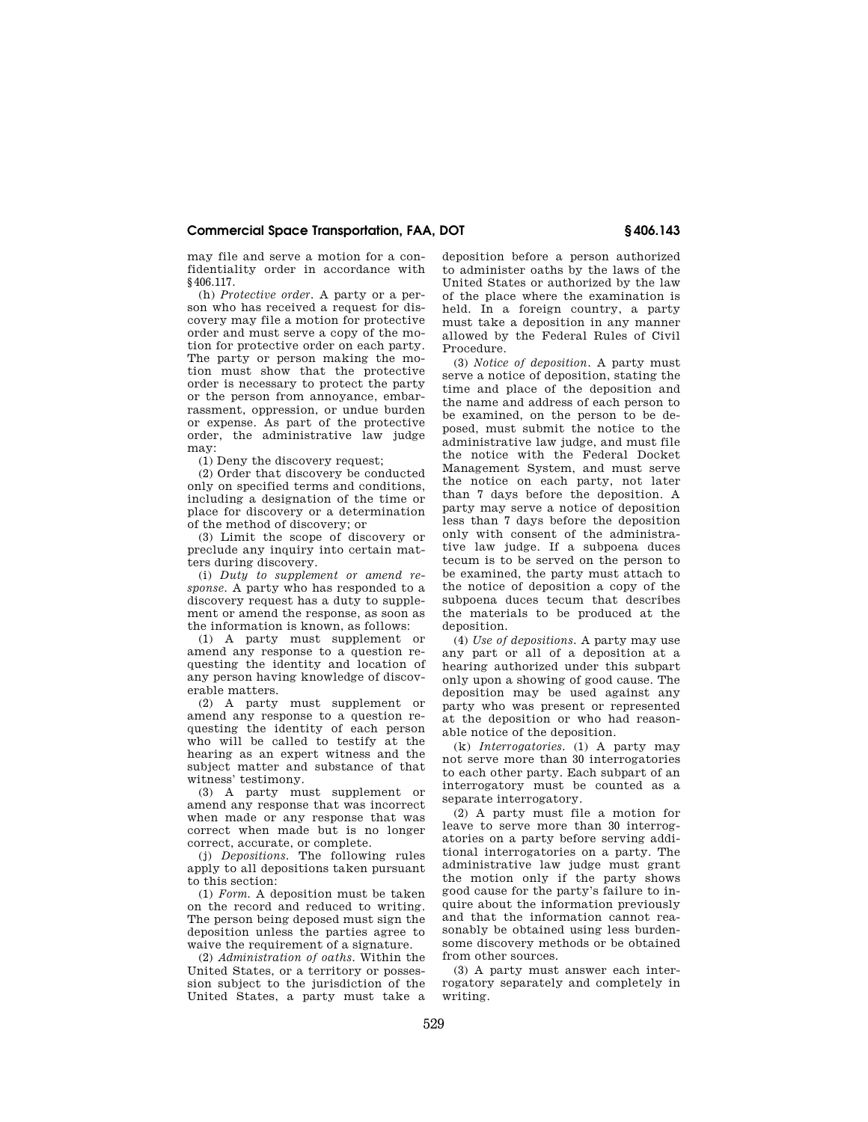## **Commercial Space Transportation, FAA, DOT § 406.143**

may file and serve a motion for a confidentiality order in accordance with §406.117.

(h) *Protective order.* A party or a person who has received a request for discovery may file a motion for protective order and must serve a copy of the motion for protective order on each party. The party or person making the motion must show that the protective order is necessary to protect the party or the person from annoyance, embarrassment, oppression, or undue burden or expense. As part of the protective order, the administrative law judge may:

(1) Deny the discovery request;

(2) Order that discovery be conducted only on specified terms and conditions, including a designation of the time or place for discovery or a determination of the method of discovery; or

(3) Limit the scope of discovery or preclude any inquiry into certain matters during discovery.

(i) *Duty to supplement or amend response.* A party who has responded to a discovery request has a duty to supplement or amend the response, as soon as the information is known, as follows:

(1) A party must supplement or amend any response to a question requesting the identity and location of any person having knowledge of discoverable matters.

(2) A party must supplement or amend any response to a question requesting the identity of each person who will be called to testify at the hearing as an expert witness and the subject matter and substance of that witness' testimony.

(3) A party must supplement or amend any response that was incorrect when made or any response that was correct when made but is no longer correct, accurate, or complete.

(j) *Depositions.* The following rules apply to all depositions taken pursuant to this section:

(1) *Form.* A deposition must be taken on the record and reduced to writing. The person being deposed must sign the deposition unless the parties agree to waive the requirement of a signature.

(2) *Administration of oaths.* Within the United States, or a territory or possession subject to the jurisdiction of the United States, a party must take a deposition before a person authorized to administer oaths by the laws of the United States or authorized by the law of the place where the examination is held. In a foreign country, a party must take a deposition in any manner allowed by the Federal Rules of Civil Procedure.

(3) *Notice of deposition.* A party must serve a notice of deposition, stating the time and place of the deposition and the name and address of each person to be examined, on the person to be deposed, must submit the notice to the administrative law judge, and must file the notice with the Federal Docket Management System, and must serve the notice on each party, not later than 7 days before the deposition. A party may serve a notice of deposition less than 7 days before the deposition only with consent of the administrative law judge. If a subpoena duces tecum is to be served on the person to be examined, the party must attach to the notice of deposition a copy of the subpoena duces tecum that describes the materials to be produced at the deposition.

(4) *Use of depositions.* A party may use any part or all of a deposition at a hearing authorized under this subpart only upon a showing of good cause. The deposition may be used against any party who was present or represented at the deposition or who had reasonable notice of the deposition.

(k) *Interrogatories.* (1) A party may not serve more than 30 interrogatories to each other party. Each subpart of an interrogatory must be counted as a separate interrogatory.

(2) A party must file a motion for leave to serve more than 30 interrogatories on a party before serving additional interrogatories on a party. The administrative law judge must grant the motion only if the party shows good cause for the party's failure to inquire about the information previously and that the information cannot reasonably be obtained using less burdensome discovery methods or be obtained from other sources.

(3) A party must answer each interrogatory separately and completely in writing.